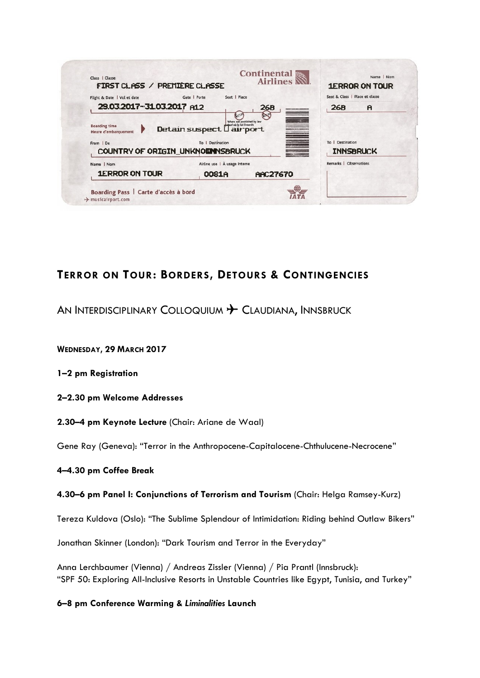| Name   Nom<br><b>1ERROR ON TOUR</b>                                                          | Airline use   À usage interne<br>0081A<br><b>AAC27670</b> |                                                                       | Remarks   Observations                                       |
|----------------------------------------------------------------------------------------------|-----------------------------------------------------------|-----------------------------------------------------------------------|--------------------------------------------------------------|
| <b>Boarding time</b><br>Heure d'embarquement<br>From   De<br>COUNTRY OF ORIGIN_UNKNOWNSBRUCK | Detain suspect Lairport<br>To   Destination               | <b>RE</b><br>Where not prohibited by law<br>Sauf où la loi l'interdit | To   Destination<br><b>INNSBRUCK</b>                         |
| Flight & Date   Vol et date<br>29.03.2017-31.03.2017 A12                                     | Seat   Place<br>Gate   Porte                              | <b>26B</b>                                                            | Seat & Class   Place et classe<br><b>26B</b><br>$\mathbf{A}$ |
| Class   Classe<br>FIRST CLASS / PREMIÈRE CLASSE                                              |                                                           | <b>Continental</b><br><b>Airlines</b>                                 | Name   Nom<br><b>1ERROR ON TOUR</b>                          |

# **TERROR ON TOUR: BORDERS, DETOURS & CONTINGENCIES**

AN INTERDISCIPLINARY COLLOQUIUM + CLAUDIANA, INNSBRUCK

**WEDNESDAY, 29 MARCH 2017**

**1–2 pm Registration**

**2–2.30 pm Welcome Addresses**

**2.30–4 pm Keynote Lecture** (Chair: Ariane de Waal)

Gene Ray (Geneva): "Terror in the Anthropocene-Capitalocene-Chthulucene-Necrocene"

# **4–4.30 pm Coffee Break**

# **4.30–6 pm Panel I: Conjunctions of Terrorism and Tourism** (Chair: Helga Ramsey-Kurz)

Tereza Kuldova (Oslo): "The Sublime Splendour of Intimidation: Riding behind Outlaw Bikers"

Jonathan Skinner (London): "Dark Tourism and Terror in the Everyday"

Anna Lerchbaumer (Vienna) / Andreas Zissler (Vienna) / Pia Prantl (Innsbruck): "SPF 50: Exploring All-Inclusive Resorts in Unstable Countries like Egypt, Tunisia, and Turkey"

# **6–8 pm Conference Warming &** *Liminalities* **Launch**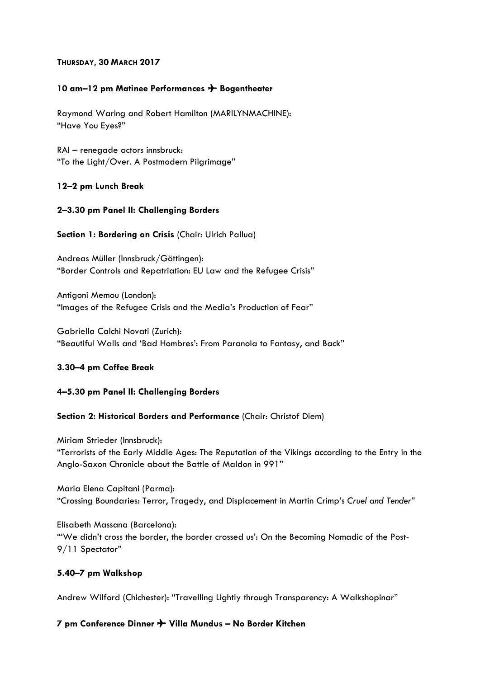# **THURSDAY, 30 MARCH 2017**

# **10 am–12 pm Matinee Performances** ✈ **Bogentheater**

Raymond Waring and Robert Hamilton (MARILYNMACHINE): "Have You Eyes?"

RAI – renegade actors innsbruck: "To the Light/Over. A Postmodern Pilgrimage"

# **12–2 pm Lunch Break**

# **2–3.30 pm Panel II: Challenging Borders**

# **Section 1: Bordering on Crisis** (Chair: Ulrich Pallua)

Andreas Müller (Innsbruck/Göttingen): "Border Controls and Repatriation: EU Law and the Refugee Crisis"

Antigoni Memou (London): "Images of the Refugee Crisis and the Media's Production of Fear"

Gabriella Calchi Novati (Zurich): "Beautiful Walls and 'Bad Hombres': From Paranoia to Fantasy, and Back"

# **3.30–4 pm Coffee Break**

# **4–5.30 pm Panel II: Challenging Borders**

# **Section 2: Historical Borders and Performance** (Chair: Christof Diem)

Miriam Strieder (Innsbruck): "Terrorists of the Early Middle Ages: The Reputation of the Vikings according to the Entry in the Anglo-Saxon Chronicle about the Battle of Maldon in 991"

Maria Elena Capitani (Parma): "Crossing Boundaries: Terror, Tragedy, and Displacement in Martin Crimp's *Cruel and Tender*"

Elisabeth Massana (Barcelona): "'We didn't cross the border, the border crossed us': On the Becoming Nomadic of the Post-9/11 Spectator"

# **5.40–7 pm Walkshop**

Andrew Wilford (Chichester): "Travelling Lightly through Transparency: A Walkshopinar"

# **7 pm Conference Dinner** ✈ **Villa Mundus – No Border Kitchen**